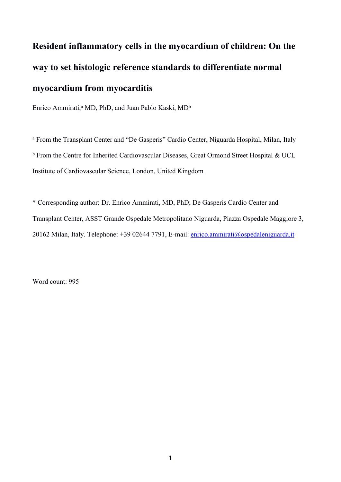## **Resident inflammatory cells in the myocardium of children: On the way to set histologic reference standards to differentiate normal myocardium from myocarditis**

Enrico Ammirati,<sup>a</sup> MD, PhD, and Juan Pablo Kaski, MD<sup>b</sup>

<sup>a</sup> From the Transplant Center and "De Gasperis" Cardio Center, Niguarda Hospital, Milan, Italy b From the Centre for Inherited Cardiovascular Diseases, Great Ormond Street Hospital & UCL Institute of Cardiovascular Science, London, United Kingdom

\* Corresponding author: Dr. Enrico Ammirati, MD, PhD; De Gasperis Cardio Center and Transplant Center, ASST Grande Ospedale Metropolitano Niguarda, Piazza Ospedale Maggiore 3, 20162 Milan, Italy. Telephone: +39 02644 7791, E-mail: [enrico.ammirati@ospedaleniguarda.it](mailto:enrico.ammirati@ospedaleniguarda.it)

Word count: 995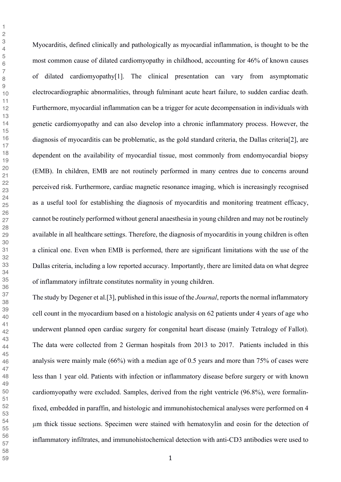Myocarditis, defined clinically and pathologically as myocardial inflammation, is thought to be the most common cause of dilated cardiomyopathy in childhood, accounting for 46% of known causes of dilated cardiomyopathy[1]. The clinical presentation can vary from asymptomatic electrocardiographic abnormalities, through fulminant acute heart failure, to sudden cardiac death. Furthermore, myocardial inflammation can be a trigger for acute decompensation in individuals with genetic cardiomyopathy and can also develop into a chronic inflammatory process. However, the diagnosis of myocarditis can be problematic, as the gold standard criteria, the Dallas criteria[2], are dependent on the availability of myocardial tissue, most commonly from endomyocardial biopsy (EMB). In children, EMB are not routinely performed in many centres due to concerns around perceived risk. Furthermore, cardiac magnetic resonance imaging, which is increasingly recognised as a useful tool for establishing the diagnosis of myocarditis and monitoring treatment efficacy, cannot be routinely performed without general anaesthesia in young children and may not be routinely available in all healthcare settings. Therefore, the diagnosis of myocarditis in young children is often a clinical one. Even when EMB is performed, there are significant limitations with the use of the Dallas criteria, including a low reported accuracy. Importantly, there are limited data on what degree of inflammatory infiltrate constitutes normality in young children.

The study by Degener et al.[3], published in this issue of the *Journal*, reports the normal inflammatory cell count in the myocardium based on a histologic analysis on 62 patients under 4 years of age who underwent planned open cardiac surgery for congenital heart disease (mainly Tetralogy of Fallot). The data were collected from 2 German hospitals from 2013 to 2017. Patients included in this analysis were mainly male (66%) with a median age of 0.5 years and more than 75% of cases were less than 1 year old. Patients with infection or inflammatory disease before surgery or with known cardiomyopathy were excluded. Samples, derived from the right ventricle (96.8%), were formalinfixed, embedded in paraffin, and histologic and immunohistochemical analyses were performed on 4 µm thick tissue sections. Specimen were stained with hematoxylin and eosin for the detection of inflammatory infiltrates, and immunohistochemical detection with anti-CD3 antibodies were used to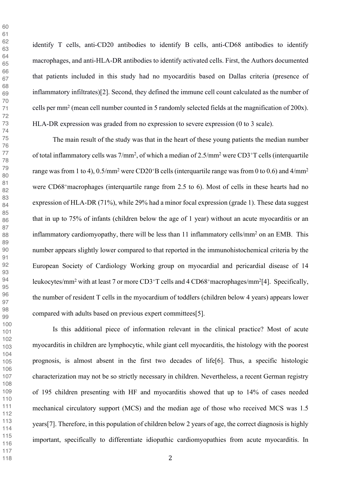identify T cells, anti-CD20 antibodies to identify B cells, anti-CD68 antibodies to identify macrophages, and anti-HLA-DR antibodies to identify activated cells. First, the Authors documented that patients included in this study had no myocarditis based on Dallas criteria (presence of inflammatory infiltrates)[2]. Second, they defined the immune cell count calculated as the number of cells per mm2 (mean cell number counted in 5 randomly selected fields at the magnification of 200x). HLA-DR expression was graded from no expression to severe expression (0 to 3 scale).

The main result of the study was that in the heart of these young patients the median number of total inflammatory cells was 7/mm2, of which a median of 2.5/mm2 were CD3+T cells (interquartile range was from 1 to 4),  $0.5/\text{mm}^2$  were CD20<sup>+</sup>B cells (interquartile range was from 0 to 0.6) and  $4/\text{mm}^2$ were CD68<sup>+</sup>macrophages (interquartile range from 2.5 to 6). Most of cells in these hearts had no expression of HLA-DR (71%), while 29% had a minor focal expression (grade 1). These data suggest that in up to 75% of infants (children below the age of 1 year) without an acute myocarditis or an inflammatory cardiomyopathy, there will be less than 11 inflammatory cells/mm<sup>2</sup> on an EMB. This number appears slightly lower compared to that reported in the immunohistochemical criteria by the European Society of Cardiology Working group on myocardial and pericardial disease of 14 leukocytes/mm2 with at least 7 or more CD3+T cells and 4 CD68+macrophages/mm2[4]. Specifically, the number of resident T cells in the myocardium of toddlers (children below 4 years) appears lower compared with adults based on previous expert committees[5].

Is this additional piece of information relevant in the clinical practice? Most of acute myocarditis in children are lymphocytic, while giant cell myocarditis, the histology with the poorest prognosis, is almost absent in the first two decades of life[6]. Thus, a specific histologic characterization may not be so strictly necessary in children. Nevertheless, a recent German registry of 195 children presenting with HF and myocarditis showed that up to 14% of cases needed mechanical circulatory support (MCS) and the median age of those who received MCS was 1.5 years[7]. Therefore, in this population of children below 2 years of age, the correct diagnosis is highly important, specifically to differentiate idiopathic cardiomyopathies from acute myocarditis. In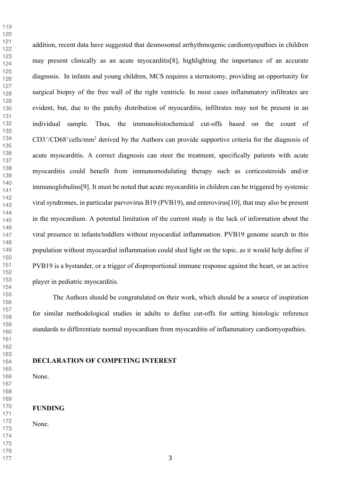addition, recent data have suggested that desmosomal arrhythmogenic cardiomyopathies in children may present clinically as an acute myocarditis[8], highlighting the importance of an accurate diagnosis. In infants and young children, MCS requires a sternotomy, providing an opportunity for surgical biopsy of the free wall of the right ventricle. In most cases inflammatory infiltrates are evident, but, due to the patchy distribution of myocarditis, infiltrates may not be present in an individual sample. Thus, the immunohistochemical cut-offs based on the count of CD3+/CD68+cells/mm2 derived by the Authors can provide supportive criteria for the diagnosis of acute myocarditis. A correct diagnosis can steer the treatment, specifically patients with acute myocarditis could benefit from immunomodulating therapy such as corticosteroids and/or immunoglobulins[9]. It must be noted that acute myocarditis in children can be triggered by systemic viral syndromes, in particular parvovirus B19 (PVB19), and enterovirus[10], that may also be present in the myocardium. A potential limitation of the current study is the lack of information about the viral presence in infants/toddlers without myocardial inflammation. PVB19 genome search in this population without myocardial inflammation could shed light on the topic, as it would help define if PVB19 is a bystander, or a trigger of disproportional immune response against the heart, or an active player in pediatric myocarditis.

The Authors should be congratulated on their work, which should be a source of inspiration for similar methodological studies in adults to define cut-offs for setting histologic reference standards to differentiate normal myocardium from myocarditis of inflammatory cardiomyopathies.

**DECLARATION OF COMPETING INTEREST**

None.

## **FUNDING**

None.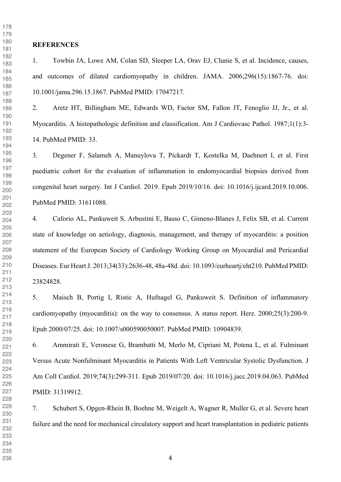## **REFERENCES**

1. Towbin JA, Lowe AM, Colan SD, Sleeper LA, Orav EJ, Clunie S, et al. Incidence, causes, and outcomes of dilated cardiomyopathy in children. JAMA. 2006;296(15):1867-76. doi: 10.1001/jama.296.15.1867. PubMed PMID: 17047217.

2. Aretz HT, Billingham ME, Edwards WD, Factor SM, Fallon JT, Fenoglio JJ, Jr., et al. Myocarditis. A histopathologic definition and classification. Am J Cardiovasc Pathol. 1987;1(1):3- 14. PubMed PMID: 33.

3. Degener F, Salameh A, Manuylova T, Pickardt T, Kostelka M, Daehnert I, et al. First paediatric cohort for the evaluation of inflammation in endomyocardial biopsies derived from congenital heart surgery. Int J Cardiol. 2019. Epub 2019/10/16. doi: 10.1016/j.ijcard.2019.10.006. PubMed PMID: 31611088.

4. Caforio AL, Pankuweit S, Arbustini E, Basso C, Gimeno-Blanes J, Felix SB, et al. Current state of knowledge on aetiology, diagnosis, management, and therapy of myocarditis: a position statement of the European Society of Cardiology Working Group on Myocardial and Pericardial Diseases. Eur Heart J. 2013;34(33):2636-48, 48a-48d. doi: 10.1093/eurheartj/eht210. PubMed PMID: 23824828.

5. Maisch B, Portig I, Ristic A, Hufnagel G, Pankuweit S. Definition of inflammatory cardiomyopathy (myocarditis): on the way to consensus. A status report. Herz. 2000;25(3):200-9. Epub 2000/07/25. doi: 10.1007/s000590050007. PubMed PMID: 10904839.

6. Ammirati E, Veronese G, Brambatti M, Merlo M, Cipriani M, Potena L, et al. Fulminant Versus Acute Nonfulminant Myocarditis in Patients With Left Ventricular Systolic Dysfunction. J Am Coll Cardiol. 2019;74(3):299-311. Epub 2019/07/20. doi: 10.1016/j.jacc.2019.04.063. PubMed PMID: 31319912.

7. Schubert S, Opgen-Rhein B, Boehne M, Weigelt A, Wagner R, Muller G, et al. Severe heart failure and the need for mechanical circulatory support and heart transplantation in pediatric patients